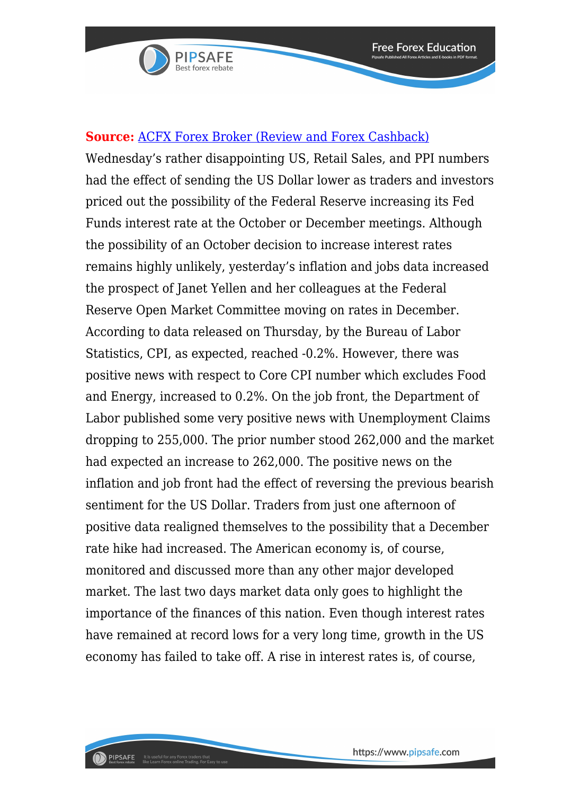

## **Source:** [ACFX Forex Broker \(Review and Forex Cashback\)](https://www.pipsafe.com/Broker-Details/?broker=AtlasCapital)

Wednesday's rather disappointing US, Retail Sales, and PPI numbers had the effect of sending the US Dollar lower as traders and investors priced out the possibility of the Federal Reserve increasing its Fed Funds interest rate at the October or December meetings. Although the possibility of an October decision to increase interest rates remains highly unlikely, yesterday's inflation and jobs data increased the prospect of Janet Yellen and her colleagues at the Federal Reserve Open Market Committee moving on rates in December. According to data released on Thursday, by the Bureau of Labor Statistics, CPI, as expected, reached -0.2%. However, there was positive news with respect to Core CPI number which excludes Food and Energy, increased to 0.2%. On the job front, the Department of Labor published some very positive news with Unemployment Claims dropping to 255,000. The prior number stood 262,000 and the market had expected an increase to 262,000. The positive news on the inflation and job front had the effect of reversing the previous bearish sentiment for the US Dollar. Traders from just one afternoon of positive data realigned themselves to the possibility that a December rate hike had increased. The American economy is, of course, monitored and discussed more than any other major developed market. The last two days market data only goes to highlight the importance of the finances of this nation. Even though interest rates have remained at record lows for a very long time, growth in the US economy has failed to take off. A rise in interest rates is, of course,